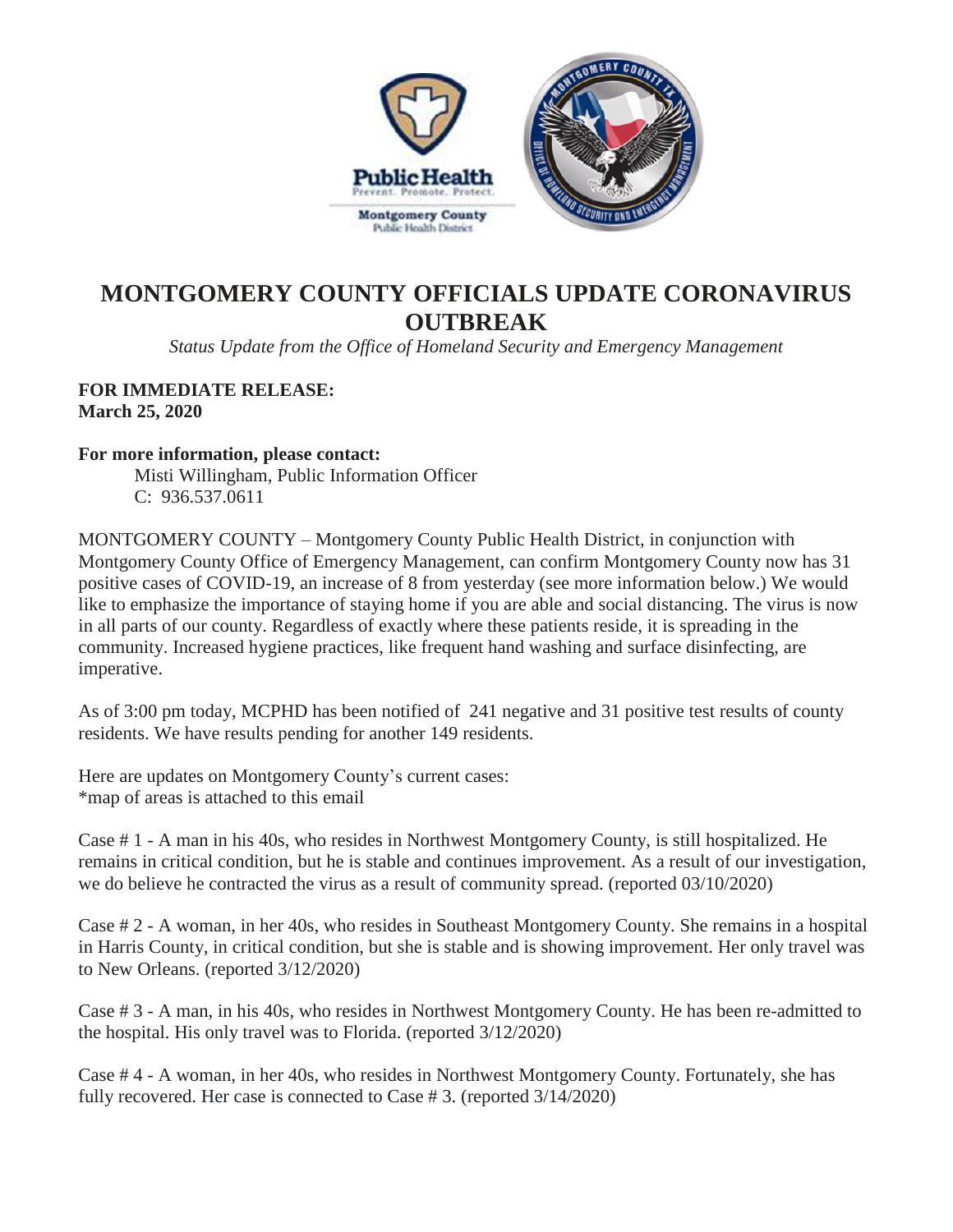

## **MONTGOMERY COUNTY OFFICIALS UPDATE CORONAVIRUS OUTBREAK**

*Status Update from the Office of Homeland Security and Emergency Management*

## **FOR IMMEDIATE RELEASE: March 25, 2020**

## **For more information, please contact:**

Misti Willingham, Public Information Officer C: 936.537.0611

MONTGOMERY COUNTY – Montgomery County Public Health District, in conjunction with Montgomery County Office of Emergency Management, can confirm Montgomery County now has 31 positive cases of COVID-19, an increase of 8 from yesterday (see more information below.) We would like to emphasize the importance of staying home if you are able and social distancing. The virus is now in all parts of our county. Regardless of exactly where these patients reside, it is spreading in the community. Increased hygiene practices, like frequent hand washing and surface disinfecting, are imperative.

As of 3:00 pm today, MCPHD has been notified of 241 negative and 31 positive test results of county residents. We have results pending for another 149 residents.

Here are updates on Montgomery County's current cases: \*map of areas is attached to this email

Case # 1 - A man in his 40s, who resides in Northwest Montgomery County, is still hospitalized. He remains in critical condition, but he is stable and continues improvement. As a result of our investigation, we do believe he contracted the virus as a result of community spread. (reported  $03/10/2020$ )

Case # 2 - A woman, in her 40s, who resides in Southeast Montgomery County. She remains in a hospital in Harris County, in critical condition, but she is stable and is showing improvement. Her only travel was to New Orleans. (reported 3/12/2020)

Case # 3 - A man, in his 40s, who resides in Northwest Montgomery County. He has been re-admitted to the hospital. His only travel was to Florida. (reported 3/12/2020)

Case # 4 - A woman, in her 40s, who resides in Northwest Montgomery County. Fortunately, she has fully recovered. Her case is connected to Case # 3. (reported 3/14/2020)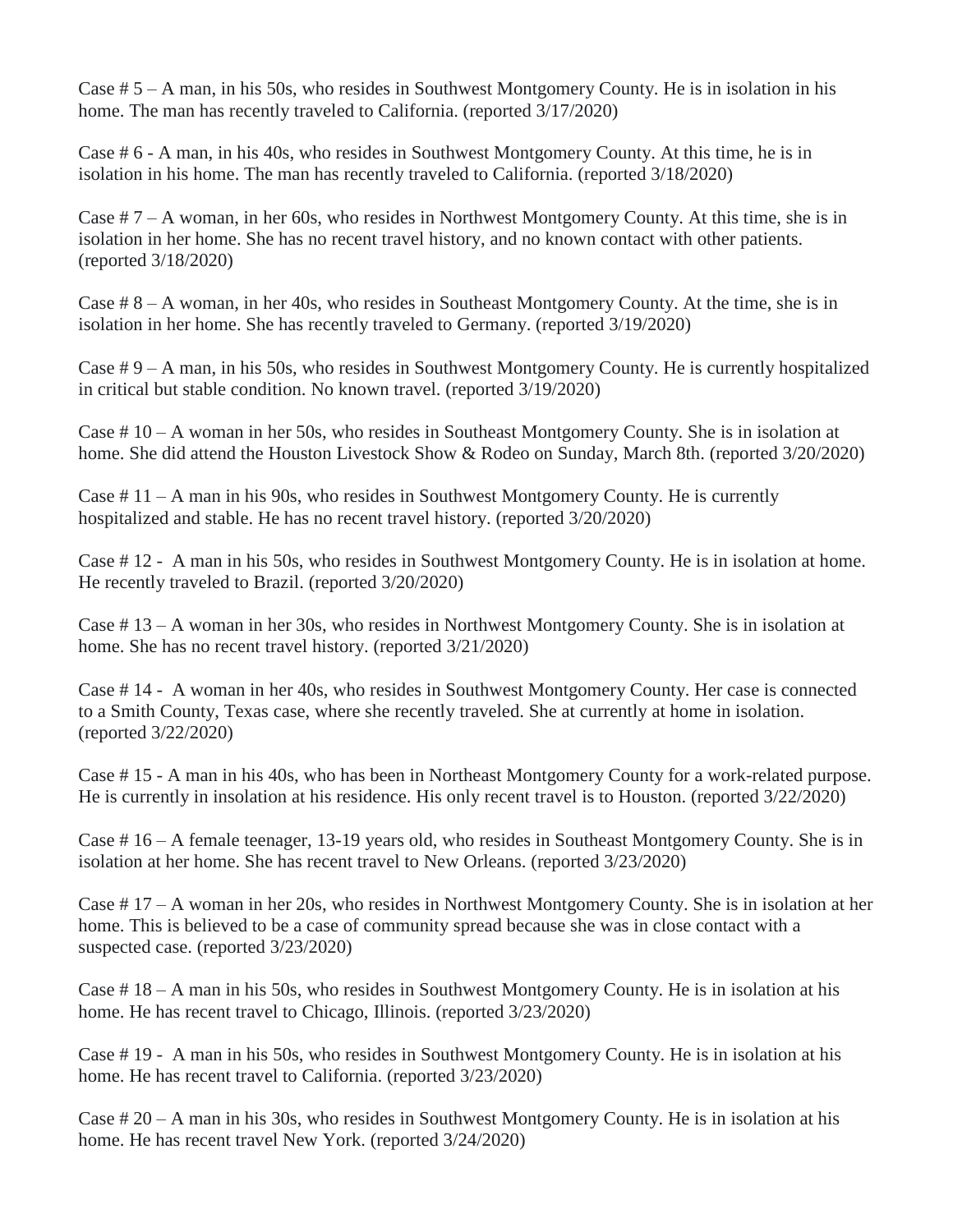Case # 5 – A man, in his 50s, who resides in Southwest Montgomery County. He is in isolation in his home. The man has recently traveled to California. (reported 3/17/2020)

Case # 6 - A man, in his 40s, who resides in Southwest Montgomery County. At this time, he is in isolation in his home. The man has recently traveled to California. (reported 3/18/2020)

Case # 7 – A woman, in her 60s, who resides in Northwest Montgomery County. At this time, she is in isolation in her home. She has no recent travel history, and no known contact with other patients. (reported 3/18/2020)

Case # 8 – A woman, in her 40s, who resides in Southeast Montgomery County. At the time, she is in isolation in her home. She has recently traveled to Germany. (reported 3/19/2020)

Case # 9 – A man, in his 50s, who resides in Southwest Montgomery County. He is currently hospitalized in critical but stable condition. No known travel. (reported 3/19/2020)

Case # 10 – A woman in her 50s, who resides in Southeast Montgomery County. She is in isolation at home. She did attend the Houston Livestock Show & Rodeo on Sunday, March 8th. (reported 3/20/2020)

Case  $\# 11 - A$  man in his 90s, who resides in Southwest Montgomery County. He is currently hospitalized and stable. He has no recent travel history. (reported 3/20/2020)

Case # 12 - A man in his 50s, who resides in Southwest Montgomery County. He is in isolation at home. He recently traveled to Brazil. (reported 3/20/2020)

Case # 13 – A woman in her 30s, who resides in Northwest Montgomery County. She is in isolation at home. She has no recent travel history. (reported 3/21/2020)

Case # 14 - A woman in her 40s, who resides in Southwest Montgomery County. Her case is connected to a Smith County, Texas case, where she recently traveled. She at currently at home in isolation. (reported 3/22/2020)

Case # 15 - A man in his 40s, who has been in Northeast Montgomery County for a work-related purpose. He is currently in insolation at his residence. His only recent travel is to Houston. (reported 3/22/2020)

Case # 16 – A female teenager, 13-19 years old, who resides in Southeast Montgomery County. She is in isolation at her home. She has recent travel to New Orleans. (reported 3/23/2020)

Case # 17 – A woman in her 20s, who resides in Northwest Montgomery County. She is in isolation at her home. This is believed to be a case of community spread because she was in close contact with a suspected case. (reported 3/23/2020)

Case # 18 – A man in his 50s, who resides in Southwest Montgomery County. He is in isolation at his home. He has recent travel to Chicago, Illinois. (reported 3/23/2020)

Case # 19 - A man in his 50s, who resides in Southwest Montgomery County. He is in isolation at his home. He has recent travel to California. (reported 3/23/2020)

Case # 20 – A man in his 30s, who resides in Southwest Montgomery County. He is in isolation at his home. He has recent travel New York. (reported 3/24/2020)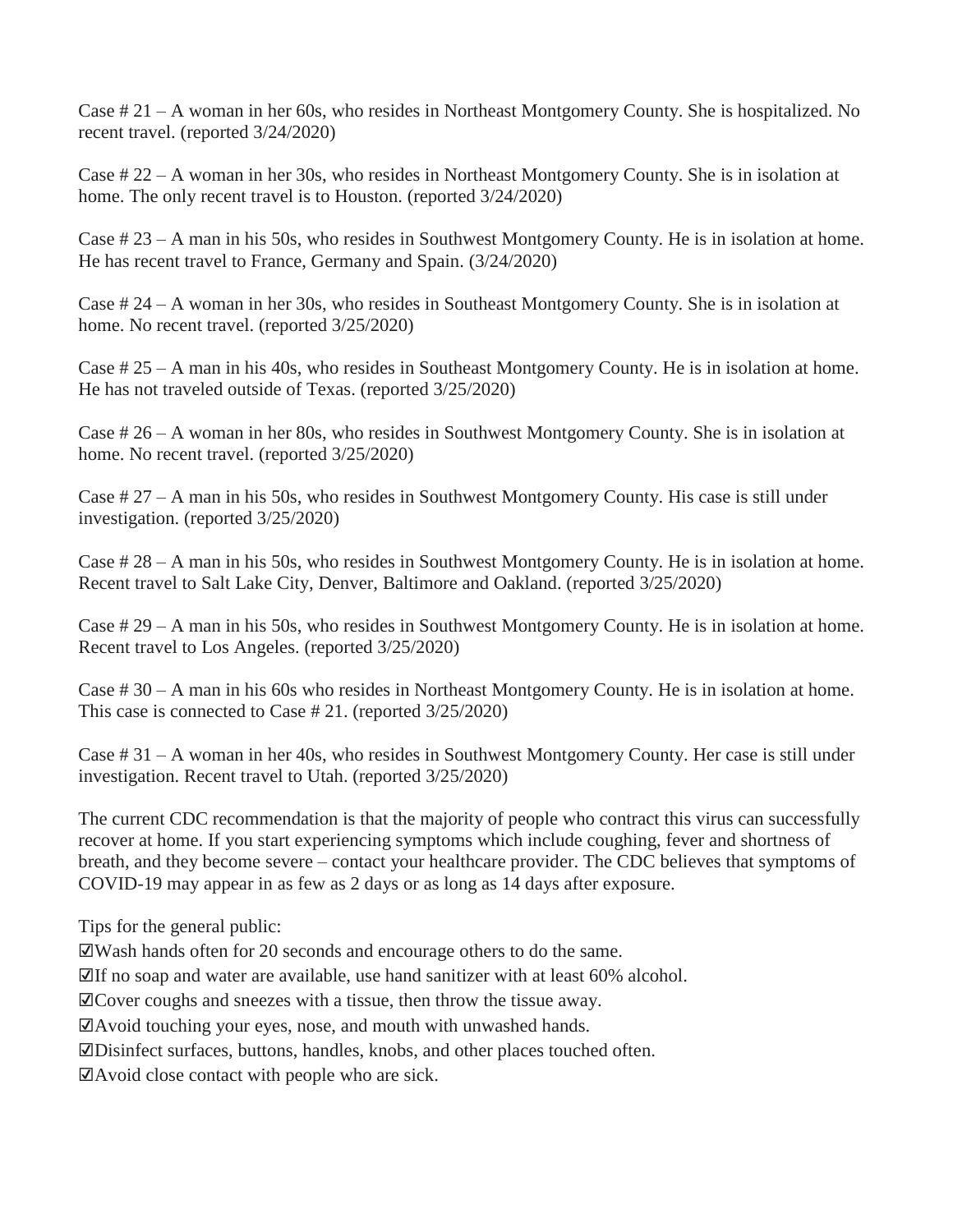Case # 21 – A woman in her 60s, who resides in Northeast Montgomery County. She is hospitalized. No recent travel. (reported 3/24/2020)

Case # 22 – A woman in her 30s, who resides in Northeast Montgomery County. She is in isolation at home. The only recent travel is to Houston. (reported 3/24/2020)

Case # 23 – A man in his 50s, who resides in Southwest Montgomery County. He is in isolation at home. He has recent travel to France, Germany and Spain. (3/24/2020)

Case # 24 – A woman in her 30s, who resides in Southeast Montgomery County. She is in isolation at home. No recent travel. (reported 3/25/2020)

Case # 25 – A man in his 40s, who resides in Southeast Montgomery County. He is in isolation at home. He has not traveled outside of Texas. (reported 3/25/2020)

Case # 26 – A woman in her 80s, who resides in Southwest Montgomery County. She is in isolation at home. No recent travel. (reported 3/25/2020)

Case # 27 – A man in his 50s, who resides in Southwest Montgomery County. His case is still under investigation. (reported 3/25/2020)

Case # 28 – A man in his 50s, who resides in Southwest Montgomery County. He is in isolation at home. Recent travel to Salt Lake City, Denver, Baltimore and Oakland. (reported 3/25/2020)

Case # 29 – A man in his 50s, who resides in Southwest Montgomery County. He is in isolation at home. Recent travel to Los Angeles. (reported 3/25/2020)

Case # 30 – A man in his 60s who resides in Northeast Montgomery County. He is in isolation at home. This case is connected to Case # 21. (reported 3/25/2020)

Case # 31 – A woman in her 40s, who resides in Southwest Montgomery County. Her case is still under investigation. Recent travel to Utah. (reported 3/25/2020)

The current CDC recommendation is that the majority of people who contract this virus can successfully recover at home. If you start experiencing symptoms which include coughing, fever and shortness of breath, and they become severe – contact your healthcare provider. The CDC believes that symptoms of COVID-19 may appear in as few as 2 days or as long as 14 days after exposure.

Tips for the general public:

☑Wash hands often for 20 seconds and encourage others to do the same.

 $\mathbb{Z}$ If no soap and water are available, use hand sanitizer with at least 60% alcohol.

☑Cover coughs and sneezes with a tissue, then throw the tissue away.

☑Avoid touching your eyes, nose, and mouth with unwashed hands.

☑Disinfect surfaces, buttons, handles, knobs, and other places touched often.

☑Avoid close contact with people who are sick.